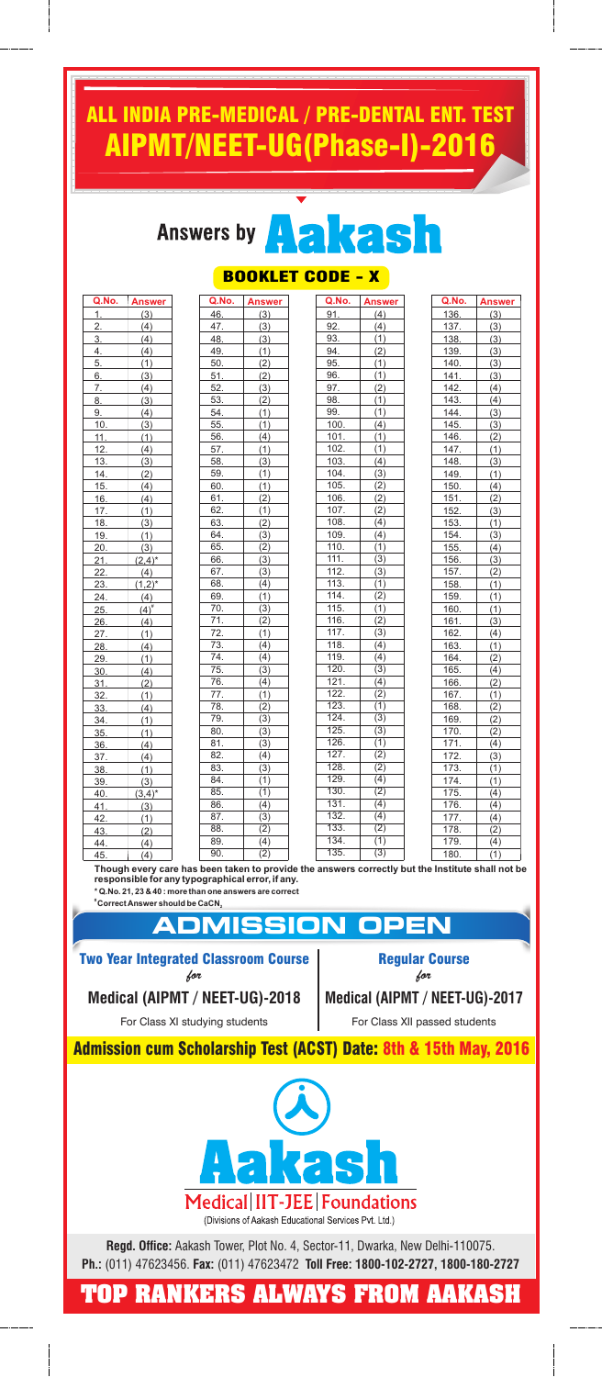## ALL INDIA PRE-MEDICAL / PRE-DENTAL ENT. TEST AIPMT/NEET-UG(Phase-I)-2016

## Answers by **A**



## T CODE - X

| Q.No.            | <b>Answer</b> |
|------------------|---------------|
| 1.               | (3)           |
| $\overline{2}$ . | (4)           |
| 3.               | (4)           |
| 4.               | (4)           |
| 5.               | (1)           |
| $6_{-}$          | (3)           |
| 7.               | (4)           |
| 8.               | (3)           |
| <u>9. </u>       | (4)           |
| 10.              | (3)           |
| 11.              | (1)           |
| 12.              | (4)           |
| 13.              | (3)           |
| 14.              | (2)           |
| 15.              | (4)           |
| 16.              | (4)           |
| 17.              | (1)           |
| 18.              | (3)           |
| 19.              | (1)           |
| 20.              | (3)           |
| 21.              | $(2,4)^*$     |
| 22.              | (4)           |
| <u>23. </u>      | $(1,2)^{*}$   |
| 24.              | (4)           |
| 25.              | $(4)^{#}$     |
| 26.              | (4)           |
| 27.              | (1)           |
| 28.              | (4)           |
| 29.              | (1)           |
| 30.              | (4)           |
| 31.              | (2)           |
| 32.              | (1)           |
| 33.              | (4)           |
| 34.              | (1)           |
| 35.              | (1)           |
| 36.              | (4)           |
| 37.              | (4)           |
| <u>38.</u>       | (1)           |
| 39.              | (3)           |
| 40.              | $(3,4)^*$     |
| 41.              | (3)           |
| 42.              | (1)           |
| 43.              | (2)           |
| 44.              | (4)           |
|                  |               |

| BUUKLE            |                  |  |
|-------------------|------------------|--|
| Q.No.             | <b>Answer</b>    |  |
| 46.               | (3)              |  |
| <u>47.</u>        | (3)              |  |
| 48.               | (3)              |  |
| 49.               | (1)              |  |
| 50.               | (2)              |  |
| 51.               | (2)              |  |
| 52.               | (3)              |  |
| 53.               | (2)              |  |
| 54.               | (1)              |  |
| 55.               | (1)              |  |
| 56.               | (4)              |  |
| 57.               | (1)              |  |
| 58.               | (3)              |  |
| 59.               | (1)              |  |
| 60.               | (1)              |  |
| 61.               | (2)              |  |
| 62.               | (1)              |  |
| 63.               | (2)              |  |
| 64.               | (3)              |  |
| 65.               | (2)              |  |
| 66.               | (3)              |  |
| 67.               | (3)              |  |
| 68.               | (4)              |  |
| 69.               | (1)              |  |
| 70.               | (3)              |  |
| 71.               | (2)              |  |
| 72.               | (1)              |  |
| 73.               | (4)              |  |
| 74.               | (4)              |  |
| 75.               | (3)              |  |
| 76.               | (4)              |  |
| 77.               | (1)              |  |
| 78.               | (2)              |  |
| 79.               | $\overline{(3)}$ |  |
| 80.               | $\overline{3)}$  |  |
| $\overline{81}$   | $\overline{3)}$  |  |
| $\overline{82}$ . | (4)              |  |
| 83.               | $\overline{3}$   |  |
| $\overline{84}$   | (1)              |  |
| 85.               | $\overline{(1)}$ |  |
| 86.               | (4)              |  |
| $\overline{87}$ . | $\overline{3)}$  |  |
| $\overline{88}$ . | (2)              |  |
| 89.               | (4)              |  |
| 90.               | $\overline{(2)}$ |  |

| <u>Q.No.</u>               | <b>Answer</b>           |
|----------------------------|-------------------------|
| <u>91.</u>                 | (4)                     |
| 92.                        | (4)                     |
| 93.                        | (1)                     |
| 94.                        | $\overline{(2)}$        |
| 95.                        | (1)                     |
|                            | (1)                     |
| 96.                        |                         |
| 97.<br>98.                 | $\frac{(2)}{(1)}$       |
| 99.                        | $\overline{1}$          |
| 100.                       | (4)                     |
| 101.                       | $\frac{1}{(1)}$         |
| 102.                       | (1)                     |
| 103.                       | (4)                     |
|                            |                         |
| 104.                       | (3)                     |
| 105.<br>106.               | (2)                     |
| 107.                       | (2)                     |
| 108.                       | (2)                     |
|                            | (4)                     |
| 109.                       | (4)                     |
| 110.<br>111.               | (1)<br>$\overline{3}$   |
|                            |                         |
| 112.                       | (3)<br>$\overline{(1)}$ |
| 113.                       |                         |
| $\overline{114}$ .         | $\overline{(2)}$        |
| $\overline{115}$ .         | (1)                     |
| 116.                       | $\overline{(2)}$        |
| $\overline{117}$ .         | $\overline{(3)}$        |
| $\overline{118}$ .         | (4)                     |
| $\overline{119}$ .         | (4)                     |
| 120.                       | (3)                     |
| 121.<br>$\overline{122}$ . | (4)                     |
| 123.                       | (2)<br>$\overline{(1)}$ |
|                            |                         |
| 124.<br>125.               | $\overline{(3)}$        |
|                            | (3)                     |
| 126.                       | (1)                     |
| 127.                       | $\overline{(2)}$        |
| 128.                       | (2)                     |
| 129.                       | $\overline{(4)}$        |
| 130.                       | (2)                     |
| 131.                       | (4)                     |
| 132.                       | $\overline{(4)}$        |
| 133.                       | $\frac{1}{(2)}$         |
| 134.                       | $\overline{(1)}$        |
| 135.                       | (3)                     |

| <u>Q.No. _</u>        | <b>Answer</b>     |
|-----------------------|-------------------|
| <u>136.</u>           | (3)               |
| 137.                  | (3)               |
| 138.                  | (3)               |
| 139.                  | (3)               |
| 140.                  | (3)               |
| 141.                  | (3)               |
| 142.                  | (4)               |
| 143.                  | (4)               |
| 144.                  | (3)               |
| 145.                  | (3)               |
| 146.                  | (2)               |
| 147.                  | (1)               |
| 148.                  | (3)               |
| 149.                  | (1)               |
| 150.                  | (4)               |
| 151.                  | (2)               |
| 152.                  | (3)               |
| 153.                  | (1)               |
| 154.                  | (3)               |
| 155.                  | (4)               |
| 156.                  | $\vert$ (3)       |
| 157.                  | (2)               |
| 158.                  | (1)               |
| 159.                  | (1)               |
| 160.                  | (1)               |
| 161.                  | (3)               |
| 162.                  | (4)               |
| 163.                  | (1)               |
| 164.                  | (2)               |
| 165.                  | (4)               |
| 166.                  | (2)               |
| 167.                  | $\overline{(1)}$  |
| $168$ <sub>____</sub> | (2)               |
| 169.                  | (2)               |
| $\frac{1}{170}$ .     | (2)               |
| 171.                  | (4)               |
| 172.                  | $\frac{(3)}{(1)}$ |
| 173.                  |                   |
| 174.                  | (1)               |
| 175.                  | (4)               |
| 176.                  | (4)               |
| 177.                  | (4)               |
| 178.                  | (2)               |
| 179.                  | (4)               |
|                       |                   |

45. (4) 90. (2) 135. (3) 180. (1) L **Though every care has been taken to provide the answers correctly but the Institute shall not be responsible for any typographical error, if any. \* Q.No. 21, 23 & 40 : more than one answers are correct**

**# Correct Answer should be CaCN<sup>2</sup>**

**ADMISSION OPEN** Two Year Integrated Classroom Course for

**Medical (AIPMT / NEET-UG)-2018**

For Class XI studying students

Regular Course for

**Medical (AIPMT / NEET-UG)-2017**

For Class XII passed students

Admission cum Scholarship Test (ACST) Date: 8th & 15th May, 2016



**Regd. Office:** Aakash Tower, Plot No. 4, Sector-11, Dwarka, New Delhi-110075. **Ph.:** (011) 47623456. **Fax:** (011) 47623472 **Toll Free: 1800-102-2727, 1800-180-2727**

**TOP RANKERS ALWAYS FROM AAKASH**